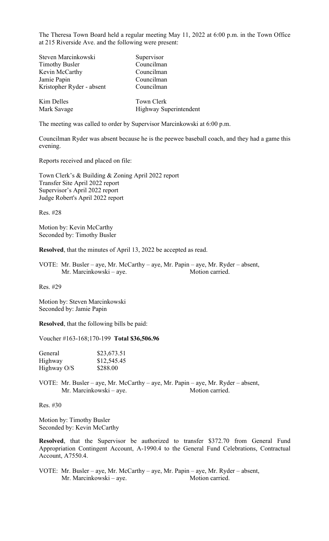The Theresa Town Board held a regular meeting May 11, 2022 at 6:00 p.m. in the Town Office at 215 Riverside Ave. and the following were present:

| Steven Marcinkowski       | Supervisor             |
|---------------------------|------------------------|
| <b>Timothy Busler</b>     | Councilman             |
| Kevin McCarthy            | Councilman             |
| Jamie Papin               | Councilman             |
| Kristopher Ryder - absent | Councilman             |
| Kim Delles                | Town Clerk             |
| Mark Savage               | Highway Superintendent |

The meeting was called to order by Supervisor Marcinkowski at 6:00 p.m.

Councilman Ryder was absent because he is the peewee baseball coach, and they had a game this evening.

Reports received and placed on file:

Town Clerk's & Building & Zoning April 2022 report Transfer Site April 2022 report Supervisor's April 2022 report Judge Robert's April 2022 report

Res. #28

Motion by: Kevin McCarthy Seconded by: Timothy Busler

**Resolved**, that the minutes of April 13, 2022 be accepted as read.

VOTE: Mr. Busler – aye, Mr. McCarthy – aye, Mr. Papin – aye, Mr. Ryder – absent, Mr. Marcinkowski – aye. Motion carried.

Res. #29

Motion by: Steven Marcinkowski Seconded by: Jamie Papin

**Resolved**, that the following bills be paid:

Voucher #163-168;170-199 **Total \$36,506.96**

| General     | \$23,673.51 |
|-------------|-------------|
| Highway     | \$12,545.45 |
| Highway O/S | \$288.00    |

VOTE: Mr. Busler – aye, Mr. McCarthy – aye, Mr. Papin – aye, Mr. Ryder – absent, Mr. Marcinkowski – aye. Motion carried.

Res. #30

Motion by: Timothy Busler Seconded by: Kevin McCarthy

**Resolved**, that the Supervisor be authorized to transfer \$372.70 from General Fund Appropriation Contingent Account, A-1990.4 to the General Fund Celebrations, Contractual Account, A7550.4.

VOTE: Mr. Busler – aye, Mr. McCarthy – aye, Mr. Papin – aye, Mr. Ryder – absent, Mr. Marcinkowski – aye. Motion carried.